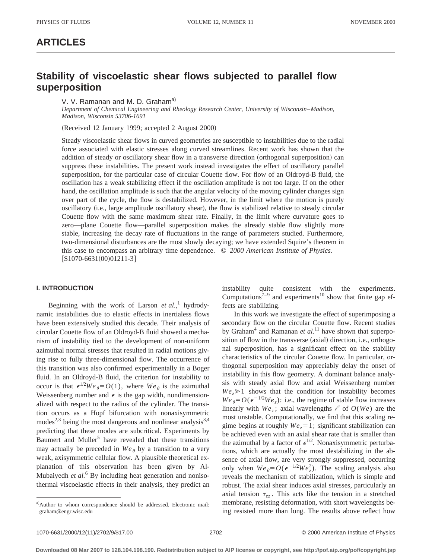## **ARTICLES**

# **Stability of viscoelastic shear flows subjected to parallel flow superposition**

V. V. Ramanan and M. D. Graham<sup>a)</sup>

*Department of Chemical Engineering and Rheology Research Center, University of Wisconsin*–*Madison, Madison, Wisconsin 53706-1691*

(Received 12 January 1999; accepted 2 August 2000)

Steady viscoelastic shear flows in curved geometries are susceptible to instabilities due to the radial force associated with elastic stresses along curved streamlines. Recent work has shown that the addition of steady or oscillatory shear flow in a transverse direction (orthogonal superposition) can suppress these instabilities. The present work instead investigates the effect of oscillatory parallel superposition, for the particular case of circular Couette flow. For flow of an Oldroyd-B fluid, the oscillation has a weak stabilizing effect if the oscillation amplitude is not too large. If on the other hand, the oscillation amplitude is such that the angular velocity of the moving cylinder changes sign over part of the cycle, the flow is destabilized. However, in the limit where the motion is purely oscillatory (i.e., large amplitude oscillatory shear), the flow is stabilized relative to steady circular Couette flow with the same maximum shear rate. Finally, in the limit where curvature goes to zero—plane Couette flow—parallel superposition makes the already stable flow slightly more stable, increasing the decay rate of fluctuations in the range of parameters studied. Furthermore, two-dimensional disturbances are the most slowly decaying; we have extended Squire's theorem in this case to encompass an arbitrary time dependence. © *2000 American Institute of Physics.*  $[S1070-6631(00)01211-3]$ 

## **I. INTRODUCTION**

Beginning with the work of Larson *et al.*, <sup>1</sup> hydrodynamic instabilities due to elastic effects in inertialess flows have been extensively studied this decade. Their analysis of circular Couette flow of an Oldroyd-B fluid showed a mechanism of instability tied to the development of non-uniform azimuthal normal stresses that resulted in radial motions giving rise to fully three-dimensional flow. The occurrence of this transition was also confirmed experimentally in a Boger fluid. In an Oldroyd-B fluid, the criterion for instability to occur is that  $\epsilon^{1/2}We_{\theta} = O(1)$ , where  $We_{\theta}$  is the azimuthal Weissenberg number and  $\epsilon$  is the gap width, nondimensionalized with respect to the radius of the cylinder. The transition occurs as a Hopf bifurcation with nonaxisymmetric modes<sup>2,3</sup> being the most dangerous and nonlinear analysis<sup>3,4</sup> predicting that these modes are subcritical. Experiments by Baumert and Muller<sup>5</sup> have revealed that these transitions may actually be preceded in  $We_{\theta}$  by a transition to a very weak, axisymmetric cellular flow. A plausible theoretical explanation of this observation has been given by Al-Mubaiyedh *et al.*<sup>6</sup> By including heat generation and nonisothermal viscoelastic effects in their analysis, they predict an instability quite consistent with the experiments. Computations $7^{-9}$  and experiments<sup>10</sup> show that finite gap effects are stabilizing.

In this work we investigate the effect of superimposing a secondary flow on the circular Couette flow. Recent studies by Graham4 and Ramanan *et al.*<sup>11</sup> have shown that superposition of flow in the transverse (axial) direction, i.e., orthogonal superposition, has a significant effect on the stability characteristics of the circular Couette flow. In particular, orthogonal superposition may appreciably delay the onset of instability in this flow geometry. A dominant balance analysis with steady axial flow and axial Weissenberg number  $We<sub>z</sub> \ge 1$  shows that the condition for instability becomes  $We_{\theta} = O(\epsilon^{-1/2}We_{\tau})$ : i.e., the regime of stable flow increases linearly with  $We$ <sub>z</sub>; axial wavelengths  $\ell$  of  $O(We)$  are the most unstable. Computationally, we find that this scaling regime begins at roughly  $We<sub>z</sub>=1$ ; significant stabilization can be achieved even with an axial shear rate that is smaller than the azimuthal by a factor of  $\epsilon^{1/2}$ . Nonaxisymmetric perturbations, which are actually the most destabilizing in the absence of axial flow, are very strongly suppressed, occurring only when  $We_{\theta} = O(\epsilon^{-1/2}We_z^2)$ . The scaling analysis also reveals the mechanism of stabilization, which is simple and robust. The axial shear induces axial stresses, particularly an axial tension  $\tau_{zz}$ . This acts like the tension in a stretched membrane, resisting deformation, with short wavelengths being resisted more than long. The results above reflect how

a)Author to whom correspondence should be addressed. Electronic mail: graham@engr.wisc.edu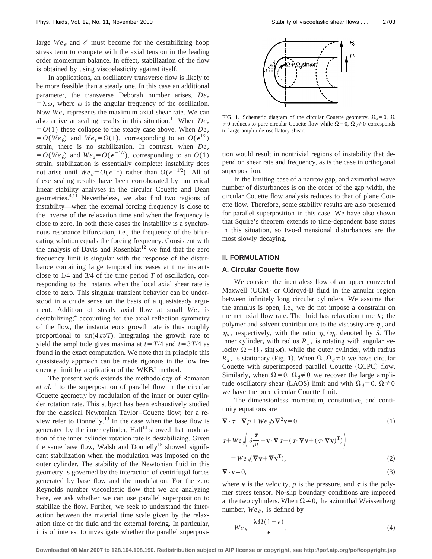large  $We_{\theta}$  and  $\ell$  must become for the destabilizing hoop stress term to compete with the axial tension in the leading order momentum balance. In effect, stabilization of the flow is obtained by using viscoelasticity against itself.

In applications, an oscillatory transverse flow is likely to be more feasible than a steady one. In this case an additional parameter, the transverse Deborah number arises,  $De<sub>z</sub>$  $= \lambda \omega$ , where  $\omega$  is the angular frequency of the oscillation. Now  $We<sub>z</sub>$  represents the maximum axial shear rate. We can also arrive at scaling results in this situation.<sup>11</sup> When  $De<sub>z</sub>$  $=$  *O*(1) these collapse to the steady case above. When *De*<sub>z</sub>  $= O(We_{\theta})$  and  $We_{z} = O(1)$ , corresponding to an  $O(\epsilon^{1/2})$ strain, there is no stabilization. In contrast, when *De*<sub>z</sub>  $= O(We_{\theta})$  and  $We_{z} = O(\epsilon^{-1/2})$ , corresponding to an  $O(1)$ strain, stabilization is essentially complete: instability does not arise until  $We_{\theta} = O(\epsilon^{-1})$  rather than  $O(\epsilon^{-1/2})$ . All of these scaling results have been corroborated by numerical linear stability analyses in the circular Couette and Dean geometries.<sup>4,11</sup> Nevertheless, we also find two regions of instability—when the external forcing frequency is close to the inverse of the relaxation time and when the frequency is close to zero. In both these cases the instability is a synchronous resonance bifurcation, i.e., the frequency of the bifurcating solution equals the forcing frequency. Consistent with the analysis of Davis and Rosenblat<sup>12</sup> we find that the zero frequency limit is singular with the response of the disturbance containing large temporal increases at time instants close to 1/4 and 3/4 of the time period *T* of oscillation, corresponding to the instants when the local axial shear rate is close to zero. This singular transient behavior can be understood in a crude sense on the basis of a quasisteady argument. Addition of steady axial flow at small  $We<sub>z</sub>$  is destabilizing;<sup>4</sup> accounting for the axial reflection symmetry of the flow, the instantaneous growth rate is thus roughly proportional to  $sin(4\pi t/T)$ . Integrating the growth rate to yield the amplitude gives maxima at  $t = T/4$  and  $t = 3T/4$  as found in the exact computation. We note that in principle this quasisteady approach can be made rigorous in the low frequency limit by application of the WKBJ method.

The present work extends the methodology of Ramanan  $et al.<sup>11</sup>$  to the superposition of parallel flow in the circular Couette geometry by modulation of the inner or outer cylinder rotation rate. This subject has been exhaustively studied for the classical Newtonian Taylor–Couette flow; for a review refer to Donnelly.<sup>13</sup> In the case when the base flow is generated by the inner cylinder,  $Hall^{14}$  showed that modulation of the inner cylinder rotation rate is destabilizing. Given the same base flow, Walsh and Donnelly<sup>15</sup> showed significant stabilization when the modulation was imposed on the outer cylinder. The stability of the Newtonian fluid in this geometry is governed by the interaction of centrifugal forces generated by base flow and the modulation. For the zero Reynolds number viscoelastic flow that we are analyzing here, we ask whether we can use parallel superposition to stabilize the flow. Further, we seek to understand the interaction between the material time scale given by the relaxation time of the fluid and the external forcing. In particular, it is of interest to investigate whether the parallel superposi-



FIG. 1. Schematic diagram of the circular Couette geometry.  $\Omega_d=0$ ,  $\Omega$  $\neq 0$  reduces to pure circular Couette flow while  $\Omega = 0$ ,  $\Omega_d \neq 0$  corresponds to large amplitude oscillatory shear.

tion would result in nontrivial regions of instability that depend on shear rate and frequency, as is the case in orthogonal superposition.

In the limiting case of a narrow gap, and azimuthal wave number of disturbances is on the order of the gap width, the circular Couette flow analysis reduces to that of plane Couette flow. Therefore, some stability results are also presented for parallel superposition in this case. We have also shown that Squire's theorem extends to time-dependent base states in this situation, so two-dimensional disturbances are the most slowly decaying.

#### **II. FORMULATION**

#### **A. Circular Couette flow**

We consider the inertialess flow of an upper convected Maxwell (UCM) or Oldroyd-B fluid in the annular region between infinitely long circular cylinders. We assume that the annulus is open, i.e., we do not impose a constraint on the net axial flow rate. The fluid has relaxation time  $\lambda$ ; the polymer and solvent contributions to the viscosity are  $\eta_p$  and  $\eta_s$ , respectively, with the ratio  $\eta_s / \eta_p$  denoted by *S*. The inner cylinder, with radius  $R_1$ , is rotating with angular velocity  $\Omega + \Omega_d \sin(\omega t)$ , while the outer cylinder, with radius  $R_2$ , is stationary (Fig. 1). When  $\Omega$ ,  $\Omega_d \neq 0$  we have circular Couette with superimposed parallel Couette (CCPC) flow. Similarly, when  $\Omega = 0$ ,  $\Omega_d \neq 0$  we recover the large amplitude oscillatory shear (LAOS) limit and with  $\Omega_d=0$ ,  $\Omega\neq0$ we have the pure circular Couette limit.

The dimensionless momentum, constitutive, and continuity equations are

$$
\nabla \cdot \boldsymbol{\tau} - \nabla p + W e_{\theta} S \nabla^2 \mathbf{v} = 0, \qquad (1)
$$

$$
\boldsymbol{\tau} + W e_{\theta} \left( \partial \frac{\boldsymbol{\tau}}{\partial t} + \mathbf{v} \cdot \nabla \, \boldsymbol{\tau} - (\boldsymbol{\tau} \cdot \nabla \mathbf{v} + (\boldsymbol{\tau} \cdot \nabla \mathbf{v})^{\mathrm{T}}) \right)
$$
  
= 
$$
W e_{\theta} (\nabla \mathbf{v} + \nabla \mathbf{v}^{\mathrm{T}}),
$$
 (2)

$$
\nabla \cdot \mathbf{v} = 0,\tag{3}
$$

where **v** is the velocity, *p* is the pressure, and  $\tau$  is the polymer stress tensor. No-slip boundary conditions are imposed at the two cylinders. When  $\Omega \neq 0$ , the azimuthal Weissenberg number,  $We_{\theta}$ , is defined by

$$
We_{\theta} = \frac{\lambda \Omega (1 - \epsilon)}{\epsilon},\tag{4}
$$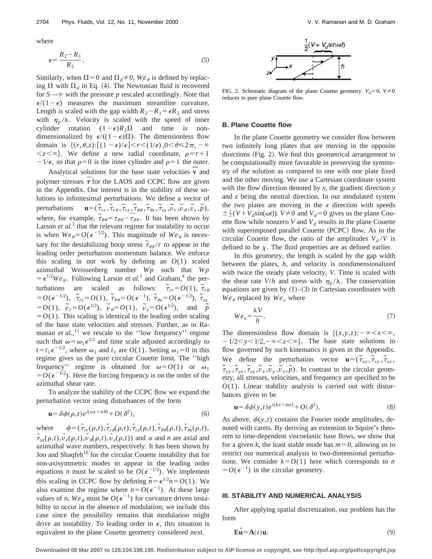where

$$
\epsilon = \frac{R_2 - R_1}{R_2}.\tag{5}
$$

Similarly, when  $\Omega = 0$  and  $\Omega_d \neq 0$ , *We*<sub> $\theta$ </sub> is defined by replacing  $\Omega$  with  $\Omega_d$  in Eq. (4). The Newtonian fluid is recovered for  $S \rightarrow \infty$  with the pressure *p* rescaled accordingly. Note that  $\epsilon/(1-\epsilon)$  measures the maximum streamline curvature. Length is scaled with the gap width  $R_2 - R_1 = \epsilon R_2$  and stress with  $\eta_p/\lambda$ . Velocity is scaled with the speed of inner cylinder rotation  $(1-\epsilon)R_2\Omega$  and time is nondimensionalized by  $\epsilon/((1-\epsilon)\Omega)$ . The dimensionless flow domain is  $\{(r,\theta,z):[(1-\epsilon)/\epsilon] < r < (1/\epsilon), 0 < \theta \leq 2\pi, -\infty\}$  $\langle z \rangle \langle \infty \rangle$ . We define a new radial coordinate,  $\rho = r+1$  $-1/\epsilon$ , so that  $\rho=0$  is the inner cylinder and  $\rho=1$  the outer.

Analytical solutions for the base state velocities  $\vec{v}$  and polymer stresses  $\bar{\tau}$  for the LAOS and CCPC flow are given in the Appendix. Our interest is in the stability of these solutions to infinitesimal perturbations. We define a vector of  $perturbations$  $\widetilde{\tau}_{rr}, \widetilde{\tau}_{r\theta}, \widetilde{\tau}_{rz}, \widetilde{\tau}_{\theta\theta}, \widetilde{\tau}_{\theta z}, \widetilde{\tau}_{zz}, \widetilde{\upsilon}_{r}, \widetilde{\upsilon}_{\theta}, \widetilde{\upsilon}_{z}, \widetilde{p}),$ where, for example,  $\tilde{\tau}_{\theta\theta} = \tau_{\theta\theta} - \tilde{\tau}_{\theta\theta}$ . It has been shown by Larson *et al.*<sup>1</sup> that the relevant regime for instability to occur is when  $We_{\theta} = O(\epsilon^{-1/2})$ . This magnitude of  $We_{\theta}$  is necessary for the destabilizing hoop stress  $\tilde{\tau}_{\theta\theta}/r$  to appear in the leading order perturbation momentum balance. We enforce this scaling in our work by defining an  $O(1)$  scaled azimuthal Weissenberg number *Wp* such that *Wp*  $= \epsilon^{1/2}We_{\theta}$ . Following Larson *et al.*<sup>1</sup> and Graham,<sup>4</sup> the perturbations are scaled as follows:  $\tilde{\tau}_{rr} = O(1)$ ,  $\tilde{\tau}_{r\theta}$  $= O(\epsilon^{-1/2}), \quad \tilde{\tau}_{rz} = O(1), \quad \tilde{\tau}_{\theta\theta} = O(\epsilon^{-1}), \quad \tilde{\tau}_{\theta z} = O(\epsilon^{-1/2}), \quad \tilde{\tau}_{zz}$  $= O(1)$ ,  $\tilde{v}_r = O(\epsilon^{1/2})$ ,  $\tilde{v}_\theta = O(1)$ ,  $\tilde{v}_z = O(\epsilon^{1/2})$ , and  $\tilde{p}$  $=$   $O(1)$ . This scaling is identical to the leading order scaling of the base state velocities and stresses. Further, as in Ramanan *et al.*,<sup>11</sup> we rescale to the "low frequency" regime such that  $\omega = \omega_1 \epsilon^{1/2}$  and time scale adjusted accordingly to  $t = t_1 e^{-1/2}$ , where  $\omega_1$  and  $t_1$  are  $O(1)$ . Setting  $\omega_1 = 0$  in this regime gives us the pure circular Couette limit. The ''high frequency'' regime is obtained for  $\omega = O(1)$  or  $\omega_1$  $=$   $O(\epsilon^{-1/2})$ . Here the forcing frequency is on the order of the azimuthal shear rate.

To analyze the stability of the CCPC flow we expand the perturbation vector using disturbances of the form

$$
\mathbf{u} = \delta \phi(\rho, t) e^{i(\alpha z + n\theta)} + O(\delta^2),\tag{6}
$$

where  $\phi = (\hat{\tau}_{rr}(\rho,t), \hat{\tau}_{r\theta}(\rho,t), \hat{\tau}_{rz}(\rho,t), \hat{\tau}_{\theta\theta}(\rho,t), \hat{\tau}_{\theta z}(\rho,t),$  $\hat{\tau}_{zz}(\rho,t), \hat{\nu}_r(\rho,t), \hat{\nu}_\theta(\rho,t), \hat{\nu}_r(\rho,t)$  and  $\alpha$  and *n* are axial and azimuthal wave numbers, respectively. It has been shown by Joo and Shaqfeh<sup>16</sup> for the circular Couette instability that for non-axisymmetric modes to appear in the leading order equations *n* must be scaled to be  $O(\epsilon^{-1/2})$ . We implement this scaling in CCPC flow by defining  $\tilde{n} = \epsilon^{1/2} n = O(1)$ . We also examine the regime where  $n = O(\epsilon^{-1})$ . At these large values of *n*,  $We_{\theta}$  must be  $O(\epsilon^{-1})$  for curvature driven instability to occur in the absence of modulation; we include this case since the possibility remains that modulation might drive an instability. To leading order in  $\epsilon$ , this situation is equivalent to the plane Couette geometry considered next.



FIG. 2. Schematic diagram of the plane Couette geometry.  $V_d=0$ ,  $V\neq0$ reduces to pure plane Couette flow.

## **B. Plane Couette flow**

In the plane Couette geometry we consider flow between two infinitely long plates that are moving in the opposite directions (Fig. 2). We find this geometrical arrangement to be computationally more favorable in preserving the symmetry of the solution as compared to one with one plate fixed and the other moving. We use a Cartesian coordinate system with the flow direction denoted by *x*, the gradient direction *y* and *z* being the neutral direction. In our modulated system the two plates are moving in the  $x$  direction with speeds  $\pm \frac{1}{2}(V + V_d \sin(\omega t))$ .  $V \neq 0$  and  $V_d = 0$  gives us the plane Couette flow while nonzero *V* and  $V<sub>d</sub>$  results in the plane Couette with superimposed parallel Couette (PCPC) flow. As in the circular Couette flow, the ratio of the amplitudes  $V_d/V$  is defined to be  $\chi$ . The fluid properties are as defined earlier.

In this geometry, the length is scaled by the gap width between the plates, *h*, and velocity is nondimensionalized with twice the steady plate velocity, *V*. Time is scaled with the shear rate *V*/*h* and stress with  $\eta_p/\lambda$ . The conservation equations are given by  $(1)$ – $(3)$  in Cartesian coordinates with  $We_{\theta}$  replaced by  $We_x$  where

$$
We_x = \frac{\lambda V}{h}.\tag{7}
$$

The dimensionless flow domain is  $\{(x,y,z): -\infty < x < \infty,$  $-1/2 < y < 1/2, -\infty < z < \infty$ . The base state solutions to flow governed by such kinematics is given in the Appendix. We define the perturbation vector  $\mathbf{u} = (\tilde{\tau}_{xx}, \tilde{\tau}_{xy}, \tilde{\tau}_{xz},$  $\tilde{\tau}_{yy}$ ,  $\tilde{\tau}_{yz}$ ,  $\tilde{\tau}_{zz}$ ,  $\tilde{\nu}_x$ ,  $\tilde{\nu}_y$ ,  $\tilde{\nu}_z$ ,  $\tilde{\rho}$ ). In contrast to the circular geometry, all stresses, velocities, and frequency are specified to be  $O(1)$ . Linear stability analysis is carried out with disturbances given to be

$$
\mathbf{u} = \delta \phi(\mathbf{y}, t) e^{i(kx + mz)} + O(\delta^2). \tag{8}
$$

As above,  $\phi(y,t)$  contains the Fourier mode amplitudes, denoted with carets. By deriving an extension to Squire's theorem to time-dependent viscoelastic base flows, we show that for a given *k*, the least stable mode has  $m=0$ , allowing us to restrict our numerical analysis to two-dimensional perturbations. We consider  $k=O(1)$  here which corresponds to *n*  $=O(\epsilon^{-1})$  in the circular geometry.

### **III. STABILITY AND NUMERICAL ANALYSIS**

After applying spatial discretization, our problem has the form

$$
\dot{\mathbf{E}} \dot{\mathbf{u}} = \mathbf{A}(t) \mathbf{u}.\tag{9}
$$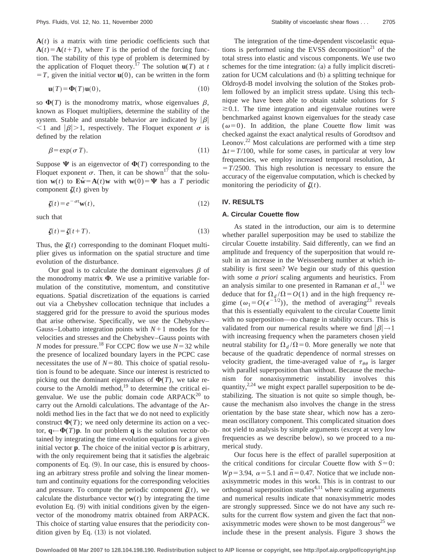$A(t)$  is a matrix with time periodic coefficients such that  $A(t) = A(t+T)$ , where *T* is the period of the forcing function. The stability of this type of problem is determined by the application of Floquet theory.<sup>17</sup> The solution  $\mathbf{u}(T)$  at *t*  $T = T$ , given the initial vector  $\mathbf{u}(0)$ , can be written in the form

$$
\mathbf{u}(T) = \mathbf{\Phi}(T)\mathbf{u}(0),\tag{10}
$$

so  $\Phi(T)$  is the monodromy matrix, whose eigenvalues  $\beta$ , known as Floquet multipliers, determine the stability of the system. Stable and unstable behavior are indicated by  $|\beta|$  $\langle 1 \rangle$  and  $|\beta| > 1$ , respectively. The Floquet exponent  $\sigma$  is defined by the relation

$$
\beta = \exp(\sigma T). \tag{11}
$$

Suppose  $\Psi$  is an eigenvector of  $\Phi(T)$  corresponding to the Floquet exponent  $\sigma$ . Then, it can be shown<sup>17</sup> that the solution  $\mathbf{w}(t)$  to  $\mathbf{E}\dot{\mathbf{w}} = \mathbf{A}(t)\mathbf{w}$  with  $\mathbf{w}(0) = \mathbf{\Psi}$  has a *T* periodic component  $\zeta(t)$  given by

$$
\zeta(t) = e^{-\sigma t} \mathbf{w}(t),\tag{12}
$$

such that

$$
\zeta(t) = \zeta(t+T). \tag{13}
$$

Thus, the  $\zeta(t)$  corresponding to the dominant Floquet multiplier gives us information on the spatial structure and time evolution of the disturbance.

Our goal is to calculate the dominant eigenvalues  $\beta$  of the monodromy matrix  $\Phi$ . We use a primitive variable formulation of the constitutive, momentum, and constitutive equations. Spatial discretization of the equations is carried out via a Chebyshev collocation technique that includes a staggered grid for the pressure to avoid the spurious modes that arise otherwise. Specifically, we use the Chebyshev– Gauss–Lobatto integration points with  $N+1$  modes for the velocities and stresses and the Chebyshev–Gauss points with *N* modes for pressure.<sup>18</sup> For CCPC flow we use  $N=32$  while the presence of localized boundary layers in the PCPC case necessitates the use of  $N=80$ . This choice of spatial resolution is found to be adequate. Since our interest is restricted to picking out the dominant eigenvalues of  $\Phi(T)$ , we take recourse to the Arnoldi method, $19$  to determine the critical eigenvalue. We use the public domain code  $ARPACK^{20}$  to carry out the Arnoldi calculations. The advantage of the Arnoldi method lies in the fact that we do not need to explicitly construct  $\Phi(T)$ ; we need only determine its action on a vector,  $\mathbf{q} \leftarrow \mathbf{\Phi}(T)\mathbf{p}$ . In our problem **q** is the solution vector obtained by integrating the time evolution equations for a given initial vector **p**. The choice of the initial vector **p** is arbitrary, with the only requirement being that it satisfies the algebraic components of Eq.  $(9)$ . In our case, this is ensured by choosing an arbitrary stress profile and solving the linear momentum and continuity equations for the corresponding velocities and pressure. To compute the periodic component  $\zeta(t)$ , we calculate the disturbance vector  $w(t)$  by integrating the time evolution Eq.  $(9)$  with initial conditions given by the eigenvector of the monodromy matrix obtained from ARPACK. This choice of starting value ensures that the periodicity condition given by Eq.  $(13)$  is not violated.

The integration of the time-dependent viscoelastic equations is performed using the EVSS decomposition<sup>21</sup> of the total stress into elastic and viscous components. We use two schemes for the time integration:  $(a)$  a fully implicit discretization for UCM calculations and (b) a splitting technique for Oldroyd-B model involving the solution of the Stokes problem followed by an implicit stress update. Using this technique we have been able to obtain stable solutions for *S*  $\approx$ 0.1. The time integration and eigenvalue routines were benchmarked against known eigenvalues for the steady case  $(\omega=0)$ . In addition, the plane Couette flow limit was checked against the exact analytical results of Gorodtsov and Leonov. $^{22}$  Most calculations are performed with a time step  $\Delta t = T/100$ , while for some cases, in particular at very low frequencies, we employ increased temporal resolution,  $\Delta t$  $T/2500$ . This high resolution is necessary to ensure the accuracy of the eigenvalue computation, which is checked by monitoring the periodicity of  $\zeta(t)$ .

## **IV. RESULTS**

## **A. Circular Couette flow**

As stated in the introduction, our aim is to determine whether parallel superposition may be used to stabilize the circular Couette instability. Said differently, can we find an amplitude and frequency of the superposition that would result in an increase in the Weissenberg number at which instability is first seen? We begin our study of this question with some *a priori* scaling arguments and heuristics. From an analysis similar to one presented in Ramanan *et al.*, <sup>11</sup> we deduce that for  $\Omega_d/\Omega = O(1)$  and in the high frequency regime  $(\omega_1 = O(\epsilon^{-1/2}))$ , the method of averaging<sup>23</sup> reveals that this is essentially equivalent to the circular Couette limit with no superposition—no change in stability occurs. This is validated from our numerical results where we find  $|\beta| \rightarrow 1$ with increasing frequency when the parameters chosen yield neutral stability for  $\Omega_d/\Omega$ =0. More generally we note that because of the quadratic dependence of normal stresses on velocity gradient, the time-averaged value of  $\tau_{\theta\theta}$  is larger with parallel superposition than without. Because the mechanism for nonaxisymmetric instability involves this quantity,<sup>2,24</sup> we might expect parallel superposition to be destabilizing. The situation is not quite so simple though, because the mechanism also involves the change in the stress orientation by the base state shear, which now has a zeromean oscillatory component. This complicated situation does not yield to analysis by simple arguments (except at very low frequencies as we describe below), so we proceed to a numerical study.

Our focus here is the effect of parallel superposition at the critical conditions for circular Couette flow with  $S=0$ : *Wp*=3.94,  $\alpha$ =5.1 and  $\tilde{n}$ =0.47. Notice that we include nonaxisymmetric modes in this work. This is in contrast to our orthogonal superposition studies $4,11$  where scaling arguments and numerical results indicate that nonaxisymmetric modes are strongly suppressed. Since we do not have any such results for the current flow system and given the fact that nonaxisymmetric modes were shown to be most dangerous<sup>25</sup> we include these in the present analysis. Figure 3 shows the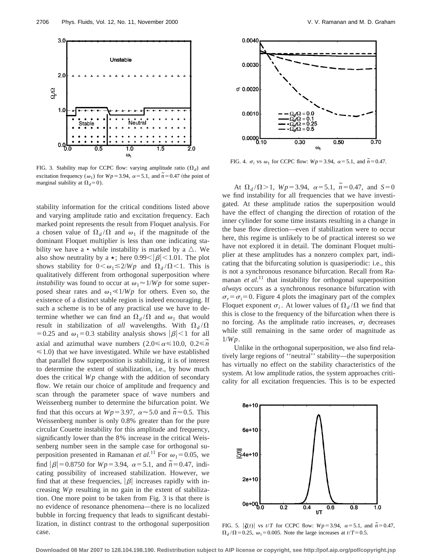

FIG. 3. Stability map for CCPC flow: varying amplitude ratio  $(\Omega_d)$  and excitation frequency ( $\omega_1$ ) for *Wp* = 3.94,  $\alpha$  = 5.1, and  $\tilde{n}$  = 0.47 (the point of marginal stability at  $\Omega_d$ =0).

stability information for the critical conditions listed above and varying amplitude ratio and excitation frequency. Each marked point represents the result from Floquet analysis. For a chosen value of  $\Omega_d/\Omega$  and  $\omega_1$  if the magnitude of the dominant Floquet multiplier is less than one indicating stability we have a • while instability is marked by a  $\triangle$ . We also show neutrality by a  $\star$ ; here 0.99<  $|\beta|$  < 1.01. The plot shows stability for  $0<\omega_1\leq 2/Wp$  and  $\Omega_d/\Omega<1$ . This is qualitatively different from orthogonal superposition where *instability* was found to occur at  $\omega_1 \approx 1/Wp$  for some superposed shear rates and  $\omega_1 \ll 1/Wp$  for others. Even so, the existence of a distinct stable region is indeed encouraging. If such a scheme is to be of any practical use we have to determine whether we can find an  $\Omega_d/\Omega$  and  $\omega_1$  that would result in stabilization of *all* wavelengths. With  $\Omega_d/\Omega$ =0.25 and  $\omega_1$ =0.3 stability analysis shows  $|\beta|$  <1 for all axial and azimuthal wave numbers  $(2.0 \le \alpha \le 10.0, 0.2 \le \tilde{n})$  $\leq 1.0$ ) that we have investigated. While we have established that parallel flow superposition is stabilizing, it is of interest to determine the extent of stabilization, i.e., by how much does the critical *Wp* change with the addition of secondary flow. We retain our choice of amplitude and frequency and scan through the parameter space of wave numbers and Weissenberg number to determine the bifurcation point. We find that this occurs at  $Wp = 3.97$ ,  $\alpha \approx 5.0$  and  $\tilde{n} \approx 0.5$ . This Weissenberg number is only 0.8% greater than for the pure circular Couette instability for this amplitude and frequency, significantly lower than the 8% increase in the critical Weissenberg number seen in the sample case for orthogonal superposition presented in Ramanan *et al.*<sup>11</sup> For  $\omega_1 = 0.05$ , we find  $|\beta| = 0.8750$  for  $Wp = 3.94$ ,  $\alpha = 5.1$ , and  $\tilde{n} = 0.47$ , indicating possibility of increased stabilization. However, we find that at these frequencies,  $|\beta|$  increases rapidly with increasing *Wp* resulting in no gain in the extent of stabilization. One more point to be taken from Fig. 3 is that there is no evidence of resonance phenomena—there is no localized bubble in forcing frequency that leads to significant destabilization, in distinct contrast to the orthogonal superposition case.



FIG. 4.  $\sigma_i$  vs  $\omega_1$  for CCPC flow:  $Wp = 3.94$ ,  $\alpha = 5.1$ , and  $\tilde{n} = 0.47$ .

At  $\Omega_d / \Omega > 1$ ,  $Wp = 3.94$ ,  $\alpha = 5.1$ ,  $\tilde{n} = 0.47$ , and  $S = 0$ we find instability for all frequencies that we have investigated. At these amplitude ratios the superposition would have the effect of changing the direction of rotation of the inner cylinder for some time instants resulting in a change in the base flow direction—even if stabilization were to occur here, this regime is unlikely to be of practical interest so we have not explored it in detail. The dominant Floquet multiplier at these amplitudes has a nonzero complex part, indicating that the bifurcating solution is quasiperiodic: i.e., this is not a synchronous resonance bifurcation. Recall from Ramanan *et al.*<sup>11</sup> that instability for orthogonal superposition *always* occurs as a synchronous resonance bifurcation with  $\sigma_r = \sigma_i = 0$ . Figure 4 plots the imaginary part of the complex Floquet exponent  $\sigma_i$ . At lower values of  $\Omega_d/\Omega$  we find that this is close to the frequency of the bifurcation when there is no forcing. As the amplitude ratio increases,  $\sigma_i$  decreases while still remaining in the same order of magnitude as 1/*Wp*.

Unlike in the orthogonal superposition, we also find relatively large regions of ''neutral'' stability—the superposition has virtually no effect on the stability characteristics of the system. At low amplitude ratios, the system approaches criticality for all excitation frequencies. This is to be expected



FIG. 5.  $|\zeta(t)|$  vs  $t/T$  for CCPC flow:  $Wp=3.94$ ,  $\alpha=5.1$ , and  $\tilde{n}=0.47$ ,  $\Omega_d/\Omega$ =0.25,  $\omega_1$ =0.005. Note the large increases at *t*/*T*=0.5.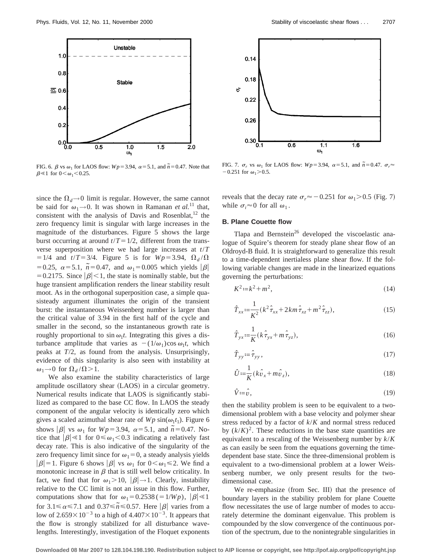

FIG. 6.  $\beta$  vs  $\omega_1$  for LAOS flow:  $Wp = 3.94$ ,  $\alpha = 5.1$ , and  $\tilde{n} = 0.47$ . Note that  $\beta \ll 1$  for  $0 < \omega_1 < 0.25$ .

since the  $\Omega_d \rightarrow 0$  limit is regular. However, the same cannot be said for  $\omega_1 \rightarrow 0$ . It was shown in Ramanan *et al.*<sup>11</sup> that, consistent with the analysis of Davis and Rosenblat, $12$  the zero frequency limit is singular with large increases in the magnitude of the disturbances. Figure 5 shows the large burst occurring at around  $t/T = 1/2$ , different from the transverse superposition where we had large increases at *t*/*T*  $=1/4$  and  $t/T=3/4$ . Figure 5 is for  $Wp=3.94$ ,  $\Omega_d/\Omega$ =0.25,  $\alpha$ =5.1,  $\tilde{n}$ =0.47, and  $\omega_1$ =0.005 which yields | $\beta$ | = 0.2175. Since  $|\beta|$  < 1, the state is nominally stable, but the huge transient amplification renders the linear stability result moot. As in the orthogonal superposition case, a simple quasisteady argument illuminates the origin of the transient burst: the instantaneous Weissenberg number is larger than the critical value of 3.94 in the first half of the cycle and smaller in the second, so the instantaneous growth rate is roughly proportional to  $\sin \omega_1 t$ . Integrating this gives a disturbance amplitude that varies as  $-(1/\omega_1)\cos \omega_1 t$ , which peaks at *T*/2, as found from the analysis. Unsurprisingly, evidence of this singularity is also seen with instability at  $\omega_1 \rightarrow 0$  for  $\Omega_d / \Omega > 1$ .

We also examine the stability characteristics of large amplitude oscillatory shear (LAOS) in a circular geometry. Numerical results indicate that LAOS is significantly stabilized as compared to the base CC flow. In LAOS the steady component of the angular velocity is identically zero which gives a scaled azimuthal shear rate of  $Wp \sin(\omega_1 t_1)$ . Figure 6 shows  $|\beta|$  vs  $\omega_1$  for  $Wp=3.94$ ,  $\alpha=5.1$ , and  $\tilde{n}=0.47$ . Notice that  $|\beta| \ll 1$  for  $0 \le \omega_1 < 0.3$  indicating a relatively fast decay rate. This is also indicative of the singularity of the zero frequency limit since for  $\omega_1=0$ , a steady analysis yields  $|\beta|=1$ . Figure 6 shows  $|\beta|$  vs  $\omega_1$  for  $0<\omega_1\leq 2$ . We find a monotonic increase in  $\beta$  that is still well below criticality. In fact, we find that for  $\omega_1 > 10$ ,  $|\beta| \rightarrow 1$ . Clearly, instability relative to the CC limit is not an issue in this flow. Further, computations show that for  $\omega_1=0.2538$  (=1/*Wp*),  $|\beta| \le 1$ for  $3.1 \le \alpha \le 7.1$  and  $0.37 \le \widetilde{n} \le 0.57$ . Here  $|\beta|$  varies from a low of  $2.659\times10^{-3}$  to a high of  $4.407\times10^{-3}$ . It appears that the flow is strongly stabilized for all disturbance wavelengths. Interestingly, investigation of the Floquet exponents



FIG. 7.  $\sigma_r$  vs  $\omega_1$  for LAOS flow:  $Wp=3.94$ ,  $\alpha=5.1$ , and  $\tilde{n}=0.47$ .  $\sigma_r \approx$  $-0.251$  for  $\omega_1$  > 0.5.

reveals that the decay rate  $\sigma_r \approx -0.251$  for  $\omega_1$ . (Fig. 7) while  $\sigma_i \approx 0$  for all  $\omega_1$ .

## **B. Plane Couette flow**

Tlapa and Bernstein<sup>26</sup> developed the viscoelastic analogue of Squire's theorem for steady plane shear flow of an Oldroyd-B fluid. It is straightforward to generalize this result to a time-dependent inertialess plane shear flow. If the following variable changes are made in the linearized equations governing the perturbations:

$$
K^2 := k^2 + m^2,\tag{14}
$$

$$
\hat{T}_{xx} := \frac{1}{K^2} (k^2 \hat{\tau}_{xx} + 2km \hat{\tau}_{xz} + m^2 \hat{\tau}_{zz}),
$$
\n(15)

$$
\hat{T}_{yx} := \frac{1}{K} (k \hat{\tau}_{yx} + m \hat{\tau}_{yz}),\tag{16}
$$

$$
\hat{T}_{yy} := \hat{\tau}_{yy},\tag{17}
$$

$$
\hat{U} := \frac{1}{K} (k\hat{v}_x + m\hat{v}_z),\tag{18}
$$

$$
\hat{V} := \hat{v},\tag{19}
$$

then the stability problem is seen to be equivalent to a twodimensional problem with a base velocity and polymer shear stress reduced by a factor of *k*/*K* and normal stress reduced by  $(k/K)^2$ . These reductions in the base state quantities are equivalent to a rescaling of the Weissenberg number by *k*/*K* as can easily be seen from the equations governing the timedependent base state. Since the three-dimensional problem is equivalent to a two-dimensional problem at a lower Weissenberg number, we only present results for the twodimensional case.

We re-emphasize (from Sec. III) that the presence of boundary layers in the stability problem for plane Couette flow necessitates the use of large number of modes to accurately determine the dominant eigenvalue. This problem is compounded by the slow convergence of the continuous portion of the spectrum, due to the nonintegrable singularities in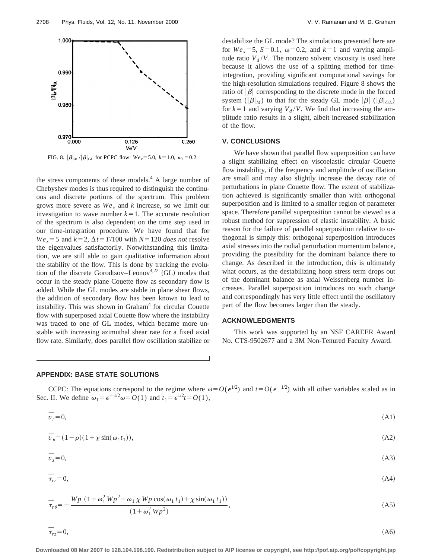

FIG. 8.  $|\beta|_M / |\beta|_{\text{GL}}$  for PCPC flow:  $We_x = 5.0, k = 1.0, \omega_1 = 0.2$ .

the stress components of these models. $4$  A large number of Chebyshev modes is thus required to distinguish the continuous and discrete portions of the spectrum. This problem grows more severe as  $We<sub>x</sub>$  and *k* increase, so we limit our investigation to wave number  $k=1$ . The accurate resolution of the spectrum is also dependent on the time step used in our time-integration procedure. We have found that for  $We_x = 5$  and  $k = 2$ ,  $\Delta t = T/100$  with  $N = 120$  *does not* resolve the eigenvalues satisfactorily. Notwithstanding this limitation, we are still able to gain qualitative information about the stability of the flow. This is done by tracking the evolution of the discrete Gorodtsov–Leonov<sup>4,22</sup> (GL) modes that occur in the steady plane Couette flow as secondary flow is added. While the GL modes are stable in plane shear flows, the addition of secondary flow has been known to lead to instability. This was shown in Graham<sup>4</sup> for circular Couette flow with superposed axial Couette flow where the instability was traced to one of GL modes, which became more unstable with increasing azimuthal shear rate for a fixed axial flow rate. Similarly, does parallel flow oscillation stabilize or destabilize the GL mode? The simulations presented here are for  $We_x = 5$ ,  $S = 0.1$ ,  $\omega = 0.2$ , and  $k = 1$  and varying amplitude ratio  $V_d/V$ . The nonzero solvent viscosity is used here because it allows the use of a splitting method for timeintegration, providing significant computational savings for the high-resolution simulations required. Figure 8 shows the ratio of  $|\beta|$  corresponding to the discrete mode in the forced system  $(|\beta|_M)$  to that for the steady GL mode  $|\beta|$  ( $|\beta|_{GL}$ ) for  $k=1$  and varying  $V_d$  /*V*. We find that increasing the amplitude ratio results in a slight, albeit increased stabilization of the flow.

### **V. CONCLUSIONS**

We have shown that parallel flow superposition can have a slight stabilizing effect on viscoelastic circular Couette flow instability, if the frequency and amplitude of oscillation are small and may also slightly increase the decay rate of perturbations in plane Couette flow. The extent of stabilization achieved is significantly smaller than with orthogonal superposition and is limited to a smaller region of parameter space. Therefore parallel superposition cannot be viewed as a robust method for suppression of elastic instability. A basic reason for the failure of parallel superposition relative to orthogonal is simply this: orthogonal superposition introduces axial stresses into the radial perturbation momentum balance, providing the possibility for the dominant balance there to change. As described in the introduction, this is ultimately what occurs, as the destabilizing hoop stress term drops out of the dominant balance as axial Weissenberg number increases. Parallel superposition introduces no such change and correspondingly has very little effect until the oscillatory part of the flow becomes larger than the steady.

## **ACKNOWLEDGMENTS**

This work was supported by an NSF CAREER Award No. CTS-9502677 and a 3M Non-Tenured Faculty Award.

## **APPENDIX: BASE STATE SOLUTIONS**

CCPC: The equations correspond to the regime where  $\omega = O(\epsilon^{1/2})$  and  $t = O(\epsilon^{-1/2})$  with all other variables scaled as in Sec. II. We define  $\omega_1 = \epsilon^{-1/2} \omega = O(1)$  and  $t_1 = \epsilon^{1/2} t = O(1)$ ,

$$
\bar{v}_r = 0,\tag{A1}
$$

$$
\overline{v}_{\theta} = (1 - \rho)(1 + \chi \sin(\omega_1 t_1)),\tag{A2}
$$

$$
\bar{v}_z = 0,\tag{A3}
$$

$$
\bar{\tau}_{rr} = 0,\tag{A4}
$$

$$
\overline{\tau}_{r\theta} = -\frac{Wp (1 + \omega_1^2 Wp^2 - \omega_1 \chi Wp \cos(\omega_1 t_1) + \chi \sin(\omega_1 t_1))}{(1 + \omega_1^2 Wp^2)},
$$
\n(A5)

$$
\bar{\tau}_{rz} = 0,\tag{A6}
$$

**Downloaded 08 Mar 2007 to 128.104.198.190. Redistribution subject to AIP license or copyright, see http://pof.aip.org/pof/copyright.jsp**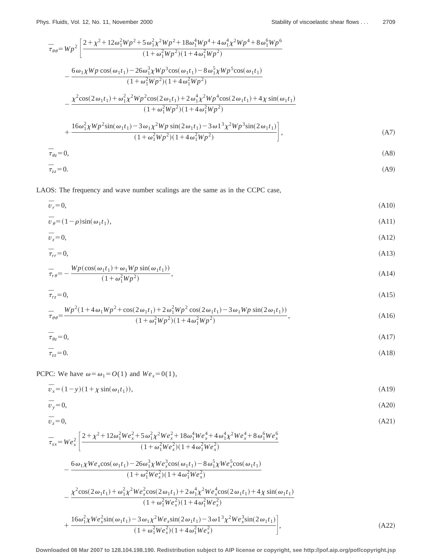$$
\overline{\tau}_{\theta\theta} = Wp^2 \left[ \frac{2 + \chi^2 + 12\omega_1^2 Wp^2 + 5\omega_1^2 \chi^2 Wp^2 + 18\omega_1^4 Wp^4 + 4\omega_1^4 \chi^2 Wp^4 + 8\omega_1^6 Wp^6}{(1 + \omega_1^2 Wp^2)(1 + 4\omega_1^2 Wp^2)} - \frac{6\omega_1 \chi Wp \cos(\omega_1 t_1) - 26\omega_1^3 \chi Wp^3 \cos(\omega_1 t_1) - 8\omega_1^5 \chi Wp^5 \cos(\omega_1 t_1)}{(1 + \omega_1^2 Wp^2)(1 + 4\omega_1^2 Wp^2)} - \frac{\chi^2 \cos(2\omega_1 t_1) + \omega_1^2 \chi^2 Wp^2 \cos(2\omega_1 t_1) + 2\omega_1^4 \chi^2 Wp^4 \cos(2\omega_1 t_1) + 4\chi \sin(\omega_1 t_1)}{(1 + \omega_1^2 Wp^2)(1 + 4\omega_1^2 Wp^2)} + \frac{16\omega_1^2 \chi Wp^2 \sin(\omega_1 t_1) - 3\omega_1 \chi^2 Wp \sin(2\omega_1 t_1) - 3\omega_1^3 \chi^2 Wp^3 \sin(2\omega_1 t_1)}{(1 + \omega_1^2 Wp^2)(1 + 4\omega_1^2 Wp^2)} \right],
$$
\n(A7)  
\n
$$
\overline{\tau}_{\theta z} = 0,
$$

$$
\overline{\tau}_{zz} = 0. \tag{A9}
$$

LAOS: The frequency and wave number scalings are the same as in the CCPC case,

$$
\overline{v}_r = 0,\tag{A10}
$$

$$
\overline{v}_{\theta} = (1 - \rho)\sin(\omega_1 t_1),\tag{A11}
$$

$$
\bar{v}_z = 0,\tag{A12}
$$

$$
\bar{\tau}_{rr} = 0,\tag{A13}
$$

$$
\overline{\tau}_{r\theta} = -\frac{Wp(\cos(\omega_1 t_1) + \omega_1 Wp \sin(\omega_1 t_1))}{(1 + \omega_1^2 Wp^2)},
$$
\n(A14)

$$
\bar{\tau}_{rz} = 0,\tag{A15}
$$

$$
\overline{\tau}_{\theta\theta} = \frac{Wp^2(1 + 4\omega_1 Wp^2 + \cos(2\omega_1 t_1) + 2\omega_1^2 Wp^2 \cos(2\omega_1 t_1) - 3\omega_1 Wp \sin(2\omega_1 t_1))}{(1 + \omega_1^2 Wp^2)(1 + 4\omega_1^2 Wp^2)},
$$
\n(A16)

$$
\bar{\tau}_{\theta z} = 0,\tag{A17}
$$

$$
\overline{\tau}_{zz} = 0. \tag{A18}
$$

PCPC: We have  $\omega = \omega_1 = O(1)$  and  $We_x = 0(1)$ ,

$$
\overline{v}_x = (1 - y)(1 + \chi \sin(\omega_1 t_1)),\tag{A19}
$$

$$
\bar{v}_y = 0,\tag{A20}
$$

$$
\bar{v}_z = 0,\tag{A21}
$$

$$
\overline{\tau}_{xx} = We_x^2 \left[ \frac{2 + \chi^2 + 12\omega_1^2 W e_x^2 + 5\omega_1^2 \chi^2 W e_x^2 + 18\omega_1^4 W e_x^4 + 4\omega_1^4 \chi^2 W e_x^4 + 8\omega_1^6 W e_x^6}{(1 + \omega_1^2 W e_x^2)(1 + 4\omega_1^2 W e_x^2)} - \frac{6\omega_1 \chi W e_x \cos(\omega_1 t_1) - 26\omega_1^3 \chi W e_x^3 \cos(\omega_1 t_1) - 8\omega_1^5 \chi W e_x^5 \cos(\omega_1 t_1)}{(1 + \omega_1^2 W e_x^2)(1 + 4\omega_1^2 W e_x^2)} - \frac{\chi^2 \cos(2\omega_1 t_1) + \omega_1^2 \chi^2 W e_x^2 \cos(2\omega_1 t_1) + 2\omega_1^4 \chi^2 W e_x^4 \cos(2\omega_1 t_1) + 4\chi \sin(\omega_1 t_1)}{(1 + \omega_1^2 W e_x^2)(1 + 4\omega_1^2 W e_x^2)} + \frac{16\omega_1^2 \chi W e_x^2 \sin(\omega_1 t_1) - 3\omega_1 \chi^2 W e_x \sin(2\omega_1 t_1) - 3\omega_1^3 \chi^2 W e_x^3 \sin(2\omega_1 t_1)}{(1 + \omega_1^2 W e_x^2)(1 + 4\omega_1^2 W e_x^2)} \right],
$$
\n(A22)

**Downloaded 08 Mar 2007 to 128.104.198.190. Redistribution subject to AIP license or copyright, see http://pof.aip.org/pof/copyright.jsp**